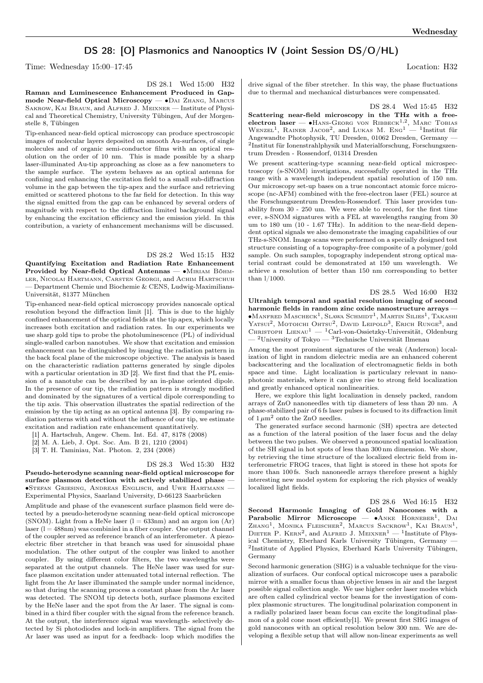# DS 28: [O] Plasmonics and Nanooptics IV (Joint Session DS/O/HL)

Time: Wednesday 15:00–17:45 Location: H32

DS 28.1 Wed 15:00 H32

Raman and Luminescence Enhancement Produced in Gapmode Near-field Optical Microscopy — ∙Dai Zhang, Marcus Sakrow, Kai Braun, and Alfred J. Meixner — Institute of Physical and Theoretical Chemistry, University Tübingen, Auf der Morgenstelle 8, Tübingen

Tip-enhanced near-field optical microscopy can produce spectroscopic images of molecular layers deposited on smooth Au-surfaces, of single molecules and of organic semi-conductor films with an optical resolution on the order of 10 nm. This is made possible by a sharp laser-illuminated Au-tip approaching as close as a few nanometers to the sample surface. The system behaves as an optical antenna for confining and enhancing the excitation field to a small sub-diffraction volume in the gap between the tip-apex and the surface and retrieving emitted or scattered photons to the far field for detection. In this way the signal emitted from the gap can be enhanced by several orders of magnitude with respect to the diffraction limited background signal by enhancing the excitation efficiency and the emission yield. In this contribution, a variety of enhancement mechanisms will be discussed.

## DS 28.2 Wed 15:15 H32

Quantifying Excitation and Radiation Rate Enhancement Provided by Near-field Optical Antennas — ∙Miriam Böhmler, Nicolai Hartmann, Carsten Georgi, and Achim Hartschuh — Department Chemie und Biochemie & CENS, Ludwig-Maximilians-Universität, 81377 München

Tip-enhanced near-field optical microscopy provides nanoscale optical resolution beyond the diffraction limit [1]. This is due to the highly confined enhancement of the optical fields at the tip apex, which locally increases both excitation and radiation rates. In our experiments we use sharp gold tips to probe the photoluminescence (PL) of individual single-walled carbon nanotubes. We show that excitation and emission enhancement can be distinguished by imaging the radiation pattern in the back focal plane of the microscope objective. The analysis is based on the characteristic radiation patterns generated by single dipoles with a particular orientation in 3D [2]. We first find that the PL emission of a nanotube can be described by an in-plane oriented dipole. In the presence of our tip, the radiation pattern is strongly modified and dominated by the signatures of a vertical dipole corresponding to the tip axis. This observation illustrates the spatial redirection of the emission by the tip acting as an optical antenna [3]. By comparing radiation patterns with and without the influence of our tip, we estimate excitation and radiation rate enhancement quantitatively.

- [1] A. Hartschuh, Angew. Chem. Int. Ed. 47, 8178 (2008)
- [2] M. A. Lieb, J. Opt. Soc. Am. B 21, 1210 (2004)
- [3] T. H. Taminiau, Nat. Photon. 2, 234 (2008)

### DS 28.3 Wed 15:30 H32

Pseudo-heterodyne scanning near-field optical microscope for surface plasmon detection with actively stabilized phase ∙Stefan Griesing, Andreas Englisch, and Uwe Hartmann — Experimental Physics, Saarland University, D-66123 Saarbrücken

Amplitude and phase of the evanescent surface plasmon field were detected by a pseudo-heterodyne scanning near-field optical microscope (SNOM). Light from a HeNe laser  $(l = 633nm)$  and an argon ion  $(Ar)$  $laser (l = 488nm)$  was combinied in a fiber coupler. One output channel of the coupler served as reference branch of an interferometer. A piezoelectric fiber stretcher in that branch was used for sinusoidal phase modulation. The other output of the coupler was linked to another coupler. By using different color filters, the two wavelengths were separated at the output channels. The HeNe laser was used for surface plasmon excitation under attenuated total internal reflection. The light from the Ar laser illuminated the sample under normal incidence, so that during the scanning process a constant phase from the Ar laser was detected. The SNOM tip detects both, surface plasmons excited by the HeNe laser and the spot from the Ar laser. The signal is combined in a third fiber coupler with the signal from the reference branch. At the output, the interference signal was wavelength- selectively detected by Si photodiodes and lock-in amplifiers. The signal from the Ar laser was used as input for a feedback- loop which modifies the

drive signal of the fiber stretcher. In this way, the phase fluctuations due to thermal and mechanical disturbances were compensated.

DS 28.4 Wed 15:45 H32

Scattering near-field microscopy in the THz with a freeelectron laser —  $\bullet$ HANS-GEORG VON RIBBECK<sup>1,2</sup>, MARC TOBIAS WENZEL<sup>1</sup>, RAINER JACOB<sup>2</sup>, and LUKAS M. Eng<sup>1</sup> - <sup>1</sup>Institut für Angewandte Photophysik, TU Dresden, 01062 Dresden, Germany — 2 Institut für Ionenstrahlphysik und Materialforschung, Forschungszentrum Dresden - Rossendorf, 01314 Dresden

We present scattering-type scanning near-field optical microspectroscopy (s-SNOM) invstigations, successfully operated in the THz range with a wavelength independent spatial resolution of 150 nm. Our microscopy set-up bases on a true noncontact atomic force microscope (nc-AFM) combined with the free-electron laser (FEL) source at the Forschungszentrum Dresden-Rossendorf. This laser provides tunability from 30 - 250 um. We were able to record, for the first time ever, s-SNOM signatures with a FEL at wavelengths ranging from 30 um to 180 um (10 - 1.67 THz). In addition to the near-field dependent optical signals we also demonstrate the imaging capabilities of our THz-s-SNOM. Image scans were performed on a specially designed test structure consisting of a topography-free composite of a polymer/gold sample. On such samples, topography independent strong optical material contrast could be demonstrated at 150 um wavelength. We achieve a resolution of better than 150 nm corresponding to better than l/1000.

DS 28.5 Wed 16:00 H32

Ultrahigh temporal and spatial resolution imaging of second harmonic fields in random zinc oxide nanostructure arrays  $\bullet$ Manfred Mascheck<sup>1</sup>, Slawa Schmidt<sup>1</sup>, Martin Silies<sup>1</sup>, Takashi YATSUI<sup>2</sup>, MOTOICHI OHTSU<sup>2</sup>, DAVID LEIPOLD<sup>3</sup>, ERICH RUNGE<sup>3</sup>, and CHRISTOPH LIENAU<sup>1</sup> — <sup>1</sup>Carl-von-Ossietzky-Universität, Oldenburg  $^{-2}$ University of Tokyo — <sup>3</sup>Technische Universität Ilmenau

Among the most prominent signatures of the weak (Anderson) localization of light in random dielectric media are an enhanced coherent backscattering and the localization of electromagnetic fields in both space and time. Light localization is particulary relevant in nanophotonic materials, where it can give rise to strong field localization and greatly enhanced optical nonlinearities.

Here, we explore this light localization in densely packed, random arrays of ZnO nanoneedles with tip diameters of less than 20 nm. A phase-stabilized pair of 6 fs laser pulses is focused to its diffraction limit of  $1 \mu m^2$  onto the ZnO needles.

The generated surface second harmonic (SH) spectra are detected as a function of the lateral position of the laser focus and the delay between the two pulses. We observed a pronounced spatial localization of the SH signal in hot spots of less than 300 nm dimension. We show, by retrieving the time structure of the localized electric field from interferometric FROG traces, that light is stored in these hot spots for more than 100 fs. Such nanoneedle arrays therefore present a highly interesting new model system for exploring the rich physics of weakly localized light fields.

DS 28.6 Wed 16:15 H32 Second Harmonic Imaging of Gold Nanocones with a Parabolic Mirror Microscope - • ANKE HORNEBER<sup>1</sup>, DAI ZHANG<sup>1</sup>, MONIKA FLEISCHER<sup>2</sup>, MARCUS SACKROW<sup>1</sup>, KAI BRAUN<sup>1</sup>, DIETER P. KERN<sup>2</sup>, and ALFRED J. MEIXNER<sup>1</sup> — <sup>1</sup>Institute of Physical Chemistry, Eberhard Karls University Tübingen, Germany — 2 Institute of Applied Physics, Eberhard Karls University Tübingen, Germany

Second harmonic generation (SHG) is a valuable technique for the visualization of surfaces. Our confocal optical microscope uses a parabolic mirror with a smaller focus than objective lenses in air and the largest possible signal collection angle. We use higher order laser modes which are often called cylindrical vector beams for the investigation of complex plasmonic structures. The longitudinal polarization component in a radially polarized laser beam focus can excite the longitudinal plasmon of a gold cone most efficiently[1]. We present first SHG images of gold nanocones with an optical resolution below 300 nm. We are developing a flexible setup that will allow non-linear experiments as well